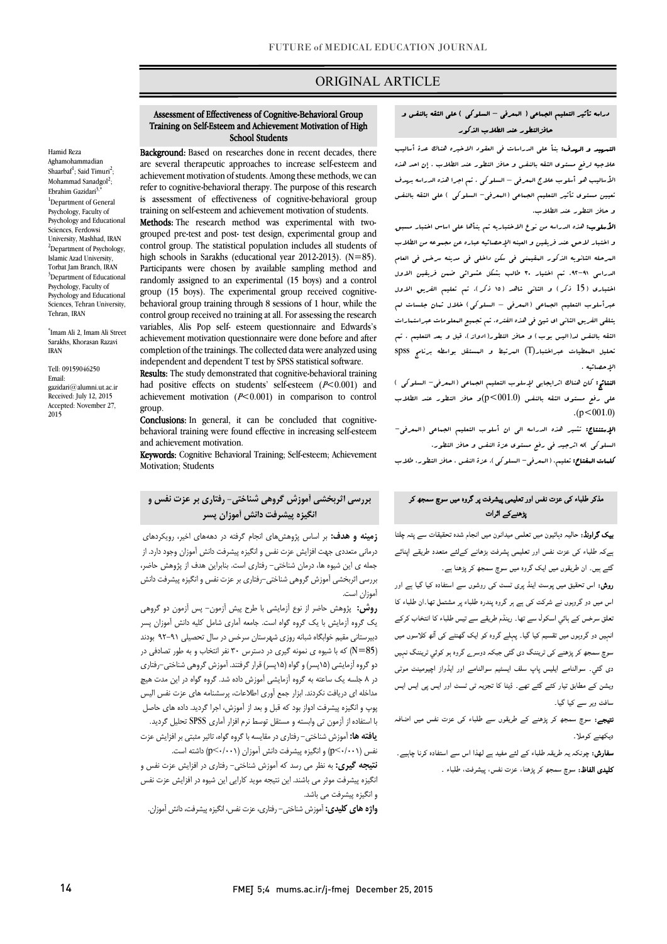# ORIGINAL ARTICLE

# دراسه تأثیر التعلیم الجماعی ( المعرفی **–** السلوکی ) علی الثقه بالنفس و حافزالتطور عند الطلاب الذکور

ص

esearches done in recent decades, there<br>التسم**یید و الرسدف:** بنأ علی الدراسات فی العقود الاخیره هناك عدة أسالیب sesarches done in recent decades, there علاجیه لرفع مستوي الثقه بالنفس و حافز التطور عند الطلاب . إن احد هذه الأسالیب هو أسلوب علاج المعرفی – السلوکی . تم اجرا هذه الدراسه بهدف تعیین مستوي تأثیر التعلیم الجماعی (المعرفی- السلوکی ) علی الثقه بالنفس و حافز التطور عند الطلاب.

ا**لأسلوب:** هذه الدراسه من نوع الاختباریه تم بنأها علی اساس اختبار مسبق<br>. و اختبار لاحق عند فریقین و العینه الإحصائیه عباره عن مجموعه من الطلاب الدراسی .92-91 تم اختیاری ای اس است ی است الدراسی ای ...)<br>الدراسی ۹۱-۹۲، تم اختیار ۳۰ طالب بشکل عشوائی ضمن فریقین الاول ی در اختباری (15 ذکر) و الثانی شاهد (15 ذکر). تم تعلیم الفریق الاول<br>اختباری (15 ذکر) و الثانی شاهد (16 ذکر). تم تعلیم الفریق الاول عبرأسلوب التعلیم الجماعی (المعرفی – السلوکی) خلال ثمان جلسات لم یتلقی الفریق الثانی اي شیئ فی هذه الفتره. تم تجمیع المعلومات عبراستمارات الثقه بالنفس لد(الیس بوب) و حافز التطور(ادواز)، قبل و بعد التعلیم . تم .<br>تحلیل الععطیات عبراختبار(T) العرتبط و المستقل بواسطه برنامج spss المرحله الثانویه الذکور المقیمنی فی سکن داخلی فی مدینه سرخس فی العام الإحصائیه .

 النتائج: کان هناك اثرایجابی لإسلوب التعلیم الجماعی (المعرفی- السلوکی ) علی رفع مستوي الثقه بالنفس (001.0>p(و حافز التطور عند الطلاب  $(n < 001.0)$ 

 الإستنتاج: تشیر هذه الدراسه الی ان أسلوب التعلیم الجماعی (المعرفی- السلوکی )له اثرجید فی رفع مستوي عزة النفس و حافز التطور.

کلمات المفتاح: تعلیم، (المعرفی- السلوکی)، عزة النفس ، حافز التطور، طلاب

# مذکر طلباء کی عزت نفس اور تعلیمی پیشرفت پر گروہ میں سوچ سمجھ کر<br>مدد کے مطلباء کی عزت بزهنے کے اثرات

**بیک گراونڈ:** حالیہ دہائیون میں تعلمی میدانون میں انجام شدہ تحقیقات سے پتہ چلتا<br>۔ بےکہ طلباء کی عزت نفس اور تعلیمی پشرفت بڑھانے کےلئے متعدد طریقے اپنائے<br>۔ گئے ہیں۔ ان طریقوں میں ایک گروہ میں سوچ سمجھ کر پڑھنا ہے۔

**روش:** اس تحقیق میں پوسٹ اینڈ پری ٹسٹ کی روشوں سے استفادہ کیا گیا ہے اور اس میں دو گروہوں نے شرکت کی ہے ہر گروہ پندرہ طلباء پر مشتمل تھا۔ان طلباء کا نعلق سرخس کے ہائي اسکول سے تھا۔ رينڈم طريقے سے تيس طلباء کا انتخاب کرکے انہیں دو گروہوں میں تقسیم کیا گیا۔ پہلے گروہ کو ایک گھنٹے کی آئھ کلاسوں میں سوچ سمجھ کر پڑھنے کی ٹریننگ دی گئی جبکہ دوسرے گروہ ہو کوئي ٹریننگ نہیں دی گئی۔ سوالنامے ایلیس پاپ سلف ایسٹیم سوالنامے اور ایڈواز اچیومینٹ موٹی ویشن کے مطابق تیار کئے گئے تھے۔ ڈیٹا کا تجزیہ ٹی ٹسٹ اور ایس پی ایس ایس سافٹ ویر سے کیا گیا۔

ن**تیجے:** سوچ سمجھ کر پڑھنے کے طریقوں سے طلباء کی عزت نفس میں اضافہ دیکھنے کوملا۔

**سفارش:** چونکہ یہ طریقہ طلباء کے لئے مفید ہے لھذا اس سے استفادہ کرنا چاہیے۔ **تلیدی الفاظ:** سوچ سمجھ کر پڑھنا، عزت نفس، پیشرفت، طلباء <sub>۔</sub>

# Training on Self-Esteem and Achievement Motivation of High Assessment of Effectiveness of Cognitive-Behavioral Group

Ī

Background: Based on researches done in recent decades, there are several therapeutic approaches to increase self-esteem and refer to cognitive-behavioral therapy. The purpose of this research is assessment of effectiveness of cognitive-behavioral group achievement motivation of students. Among these methods, we can training on self-esteem and achievement motivation of students.

 Methods: The research method was experimental with two- grouped pre-test and post- test design, experimental group and control group. The statistical population includes all students of Participants were chosen by available sampling method and randomly assigned to an experimental (15 boys) and a control behavioral group training through 8 sessions of 1 hour, while the control group received no training at all. For assessing the research variables, Alis Pop self- esteem questionnaire and Edwards's completion of the trainings. The collected data were analyzed using independent and dependent T test by SPSS statistical software. high schools in Sarakhs (educational year 2012-2013). (N=85). group (15 boys). The experimental group received cognitiveachievement motivation questionnaire were done before and after

 Results: The study demonstrated that cognitive-behavioral training achievement motivation  $(P<0.001)$  in comparison to control had positive effects on students' self-esteem  $(P<0.001)$  and group

 behavioral training were found effective in increasing self-esteem Conclusions: In general, it can be concluded that cognitiveand achievement motivation.

 Keywords: Cognitive Behavioral Training; Self-esteem; Achievement Motivation; Students

# **بررسی اثربخشی آموزش گروهی شناختی- رفتاري بر عزت نفس و**  ٔ **انگیزه پیشرفت دانش آموزان پسر**

 **زمینه و هدف:** بر اساس پژوهشهاي انجام گرفته در دهههاي اخیر، رویکردهاي درمانی متعددي جهت افزایش عزت نفس و انگیزه پیشرفت دانش آموزان وجود دارد. از ĺ بررسی اثربخشی آموزش گروهی شناختی-رفتاری بر عزت نفس و انگیزه پیشرفت دانش<br>استانیات جمله ي این شیوه ها، درمان شناختی- رفتاري است. بنابراین هدف از پژوهش حاضر، آموزان است.

 **روش:** پژوهش حاضر از نوع آزمایشی با طرح پیش آزمون- پس آزمون دو گروهی یک گروه آزمایش با یک گروه گواه است. جامعه آماري شامل کلیه دانش آموزان پسر دبیرستانی مقیم خوابگاه شبانه روزي شهرستان سرخس در سال تحصیلی 92-91 بودند (85=N (که با شیوه ي نمونه گیري در دسترس 30 نفر انتخاب و به طور تصادفی در دو گروه آزمایشی (15پسر) و گواه (15پسر) قرار گرفتند. آموزش گروهی شناختی-رفتاري در ۲۰۰ بسته یات ساخته به حروم ارتبایسی امورس حادث سفاه حروم خواه در این ساخت عینی<br>مداخله ای دریافت نکردند. ابزار جمع آوری اطلاعات، پرسشنامه های عزت نفس الیس پوپ و انگیزه پیشرفت ادواز بود که قبل و بعد از آموزش، اجرا گردید. داده هاي حاصل با استفاده از آزمون تی وابسته و مستقل توسط نرم افزار آماري SPSS تحلیل گردید. در 8 جلسه یک ساعته به گروه آزمایشی آموزش داده شد. گروه گواه در این مدت هیچ

 **یافته ها:** آموزش شناختی- رفتاري در مقایسه با گروه گواه، تاثیر مثبتی بر افزایش عزت نفس (p<۰/۰۰۱) و انگیزه پیشرفت دانش آموزان (p<۰/۰۰۱) داشته است.

 **نتیجه گیري:** به نظر می رسد که آموزش شناختی- رفتاري در افزایش عزت نفس و انگیزه پیشرفت موثر می باشند. این نتیجه موید کارایی این شیوه در افزایش عزت نفس و انگیزه پیشرفت می باشد.

**واژه هاي کلیدي:** آموزش شناختی- رفتاري، عزت نفس، انگیزه پیشرفت، دانش آموزان.

Hamid Reza Aghamohammadian Shaarbaf<sup>1</sup>; Said Timuri<sup>2</sup> ; Mohammad Sanadgol<sup>2</sup>; Ebrahim Gazidari $3$ , <sup>1</sup>Department of General Psychology, Faculty of Psychology and Educational Sciences, Ferdowsi University, Mashhad, IRAN <sup>2</sup>Department of Psychology, Islamic Azad University, Torbat Jam Branch, IRAN <sup>3</sup>Department of Educational Psychology, Faculty of Psychology and Educational Sciences, Tehran University, Tehran, IRAN

\* Imam Ali 2, Imam Ali Street Sarakhs, Khorasan Razavi IRAN

Tell: 09159046250 Email: gazidari@alumni.ut.ac.ir Received: July 12, 2015 Accepted: November 27, 2015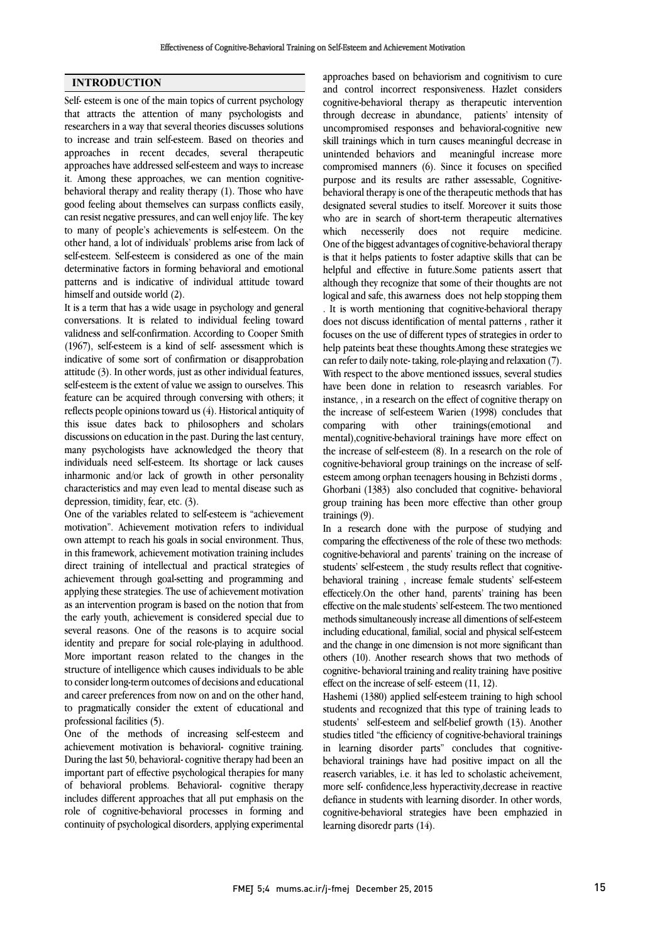# **INTRODUCTION**

Self- esteem is one of the main topics of current psychology that attracts the attention of many psychologists and researchers in a way that several theories discusses solutions to increase and train self-esteem. Based on theories and approaches in recent decades, several therapeutic approaches have addressed self-esteem and ways to increase it. Among these approaches, we can mention cognitivebehavioral therapy and reality therapy (1). Those who have good feeling about themselves can surpass conflicts easily, can resist negative pressures, and can well enjoy life. The key to many of people's achievements is self-esteem. On the other hand, a lot of individuals' problems arise from lack of self-esteem. Self-esteem is considered as one of the main determinative factors in forming behavioral and emotional patterns and is indicative of individual attitude toward himself and outside world (2).

It is a term that has a wide usage in psychology and general conversations. It is related to individual feeling toward validness and self-confirmation. According to Cooper Smith (1967), self-esteem is a kind of self- assessment which is indicative of some sort of confirmation or disapprobation attitude (3). In other words, just as other individual features, self-esteem is the extent of value we assign to ourselves. This feature can be acquired through conversing with others; it reflects people opinions toward us (4). Historical antiquity of this issue dates back to philosophers and scholars discussions on education in the past. During the last century, many psychologists have acknowledged the theory that individuals need self-esteem. Its shortage or lack causes inharmonic and/or lack of growth in other personality characteristics and may even lead to mental disease such as depression, timidity, fear, etc. (3).

One of the variables related to self-esteem is "achievement motivation". Achievement motivation refers to individual own attempt to reach his goals in social environment. Thus, in this framework, achievement motivation training includes direct training of intellectual and practical strategies of achievement through goal-setting and programming and applying these strategies. The use of achievement motivation as an intervention program is based on the notion that from the early youth, achievement is considered special due to several reasons. One of the reasons is to acquire social identity and prepare for social role-playing in adulthood. More important reason related to the changes in the structure of intelligence which causes individuals to be able to consider long-term outcomes of decisions and educational and career preferences from now on and on the other hand, to pragmatically consider the extent of educational and professional facilities (5).

One of the methods of increasing self-esteem and achievement motivation is behavioral- cognitive training. During the last 50, behavioral- cognitive therapy had been an important part of effective psychological therapies for many of behavioral problems. Behavioral- cognitive therapy includes different approaches that all put emphasis on the role of cognitive-behavioral processes in forming and continuity of psychological disorders, applying experimental

 approaches based on behaviorism and cognitivism to cure and control incorrect responsiveness. Hazlet considers cognitive-behavioral therapy as therapeutic intervention through decrease in abundance, patients' intensity of skill trainings which in turn causes meaningful decrease in unintended behaviors and meaningful increase more compromised manners (6). Since it focuses on specified purpose and its results are rather assessable, Cognitivedesignated several studies to itself. Moreover it suits those who are in search of short-term therapeutic alternatives which One of the biggest advantages of cognitive-behavioral therapy helpful and effective in future.Some patients assert that although they recognize that some of their thoughts are not logical and safe, this awarness does not help stopping them . It is worth mentioning that cognitive-behavioral therapy uncompromised responses and behavioral-cognitive new behavioral therapy is one of the therapeutic methods that has necesserily does not require medicine. is that it helps patients to foster adaptive skills that can be does not discuss identification of mental patterns , rather it

focuses on the use of different types of strategies in order to help pateints beat these thoughts.Among these strategies we can refer to daily note- taking, role-playing and relaxation (7). With respect to the above mentioned isssues, several studies instance, , in a research on the effect of cognitive therapy on the increase of self-esteem Warien (1998) concludes that comparing mental),cognitive-behavioral trainings have more effect on cognitive-behavioral group trainings on the increase of self- esteem among orphan teenagers housing in Behzisti dorms , Ghorbani (1383) also concluded that cognitive- behavioral group training has been more effective than other group have been done in relation to reseasrch variables. For with other trainings(emotional and the increase of self-esteem (8). In a research on the role of trainings (9).

In a research done with the purpose of studying and comparing the effectiveness of the role of these two methods: cognitive-behavioral and parents' training on the increase of students' self-esteem , the study results reflect that cognitiveeffecticely.On the other hand, parents' training has been effective on the male students'self-esteem. The two mentioned methods simultaneously increase all dimentions of self-esteem including educational, familial, social and physical self-esteem others (10). Another research shows that two methods of cognitive- behavioral training and reality training have positive effect on the increase of self- esteem (11, 12). behavioral training , increase female students' self-esteem and the change in one dimension is not more significant than

 Hashemi (1380) applied self-esteem training to high school students' self-esteem and self-belief growth (13). Another studies titled "the efficiency of cognitive-behavioral trainings in learning disorder parts" concludes that cognitive- behavioral trainings have had positive impact on all the more self- confidence,less hyperactivity,decrease in reactive defiance in students with learning disorder. In other words, cognitive-behavioral strategies have been emphazied in learning disoredr parts (14). students and recognized that this type of training leads to reaserch variables, i.e. it has led to scholastic acheivement,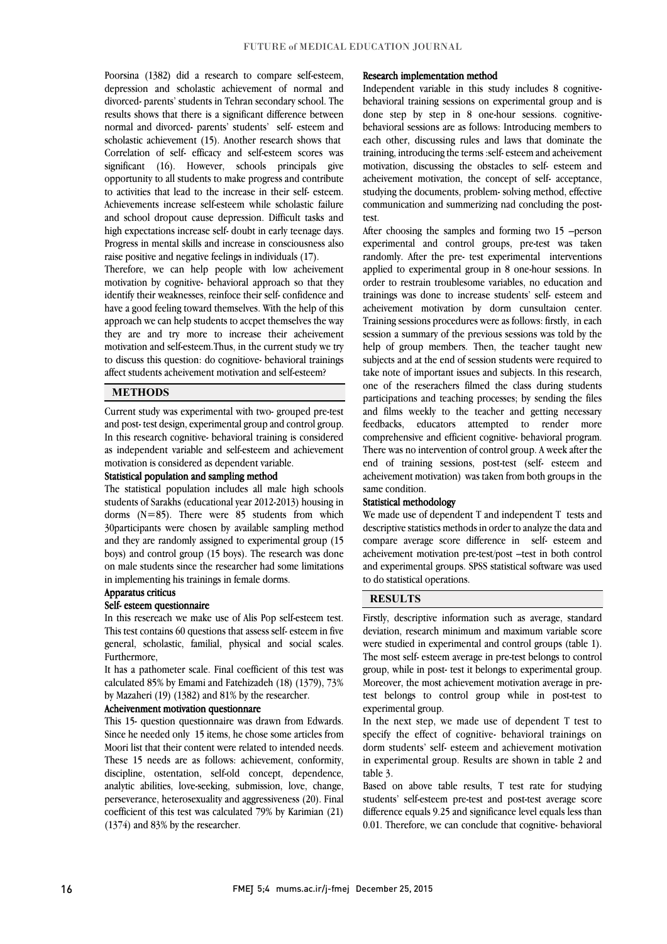Poorsina (1382) did a research to compare self-esteem, depression and scholastic achievement of normal and divorced- parents' students in Tehran secondary school. The results shows that there is a significant difference between scholastic achievement (15). Another research shows that Correlation of self- efficacy and self-esteem scores was significant (16). However, schools principals give to activities that lead to the increase in their self- esteem. Achievements increase self-esteem while scholastic failure and school dropout cause depression. Difficult tasks and high expectations increase self- doubt in early teenage days. Progress in mental skills and increase in consciousness also normal and divorced- parents' students' self- esteem and opportunity to all students to make progress and contribute raise positive and negative feelings in individuals (17).

Therefore, we can help people with low acheivement motivation by cognitive- behavioral approach so that they identify their weaknesses, reinfoce their self- confidence and have a good feeling toward themselves. With the help of this they are and try more to increase their acheivement motivation and self-esteem.Thus, in the current study we try to discuss this question: do cognitiove- behavioral trainings affect students acheivement motivation and self-esteem? approach we can help students to accpet themselves the way

# **METHODS**

 Current study was experimental with two- grouped pre-test and post- test design, experimental group and control group. as independent variable and self-esteem and achievement In this research cognitive- behavioral training is considered motivation is considered as dependent variable.

## Statistical population and sampling method

 The statistical population includes all male high schools students of Sarakhs (educational year 2012-2013) housing in 30participants were chosen by available sampling method and they are randomly assigned to experimental group (15 boys) and control group (15 boys). The research was done on male students since the researcher had some limitations dorms (N=85). There were 85 students from which in implementing his trainings in female dorms.

### Apparatus criticus

# Self- esteem questionnaire

 In this resereach we make use of Alis Pop self-esteem test. general, scholastic, familial, physical and social scales. This test contains 60 questions that assess self- esteem in five Furthermore,

 It has a pathometer scale. Final coefficient of this test was calculated 85% by Emami and Fatehizadeh (18) (1379), 73% by Mazaheri (19) (1382) and 81% by the researcher.

## Acheivenment motivation questionnare

 This 15- question questionnaire was drawn from Edwards. Since he needed only 15 items, he chose some articles from Moori list that their content were related to intended needs. discipline, ostentation, self-old concept, dependence, analytic abilities, love-seeking, submission, love, change, perseverance, heterosexuality and aggressiveness (20). Final coefficient of this test was calculated 79% by Karimian (21) These 15 needs are as follows: achievement, conformity, (1374) and 83% by the researcher.

#### Research implementation method

 Independent variable in this study includes 8 cognitive- behavioral training sessions on experimental group and is done step by step in 8 one-hour sessions. cognitive- each other, discussing rules and laws that dominate the training, introducing the terms :self- esteem and acheivement motivation, discussing the obstacles to self- esteem and studying the documents, problem- solving method, effective communication and summerizing nad concluding the postbehavioral sessions are as follows: Introducing members to acheivement motivation, the concept of self- acceptance, test.

 After choosing the samples and forming two 15 –person experimental and control groups, pre-test was taken applied to experimental group in 8 one-hour sessions. In order to restrain troublesome variables, no education and trainings was done to increase students' self- esteem and acheivement motivation by dorm cunsultaion center. session a summary of the previous sessions was told by the help of group members. Then, the teacher taught new subjects and at the end of session students were required to take note of important issues and subjects. In this research, participations and teaching processes; by sending the files and films weekly to the teacher and getting necessary feedbacks, educators attempted to render more There was no intervention of control group. A week after the end of training sessions, post-test (self- esteem and acheivement motivation) was taken from both groups in the randomly. After the pre- test experimental interventions Training sessions procedures were as follows: firstly, in each one of the reserachers filmed the class during students comprehensive and efficient cognitive- behavioral program. same condition.

#### Statistical methodology

 We made use of dependent T and independent T tests and descriptive statistics methods in order to analyze the data and compare average score difference in self- esteem and acheivement motivation pre-test/post –test in both control and experimental groups. SPSS statistical software was used l to do statistical operations.

 $\overline{a}$ 

## **RESULTS**

 Firstly, descriptive information such as average, standard deviation, research minimum and maximum variable score The most self- esteem average in pre-test belongs to control group, while in post- test it belongs to experimental group. Moreover, the most achievement motivation average in pre- test belongs to control group while in post-test to were studied in experimental and control groups (table 1). experimental group.

In the next step, we made use of dependent T test to specify the effect of cognitive- behavioral trainings on dorm students' self- esteem and achievement motivation in experimental group. Results are shown in table 2 and table 3.

 Based on above table results, T test rate for studying students' self-esteem pre-test and post-test average score difference equals 9.25 and significance level equals less than 0.01. Therefore, we can conclude that cognitive- behavioral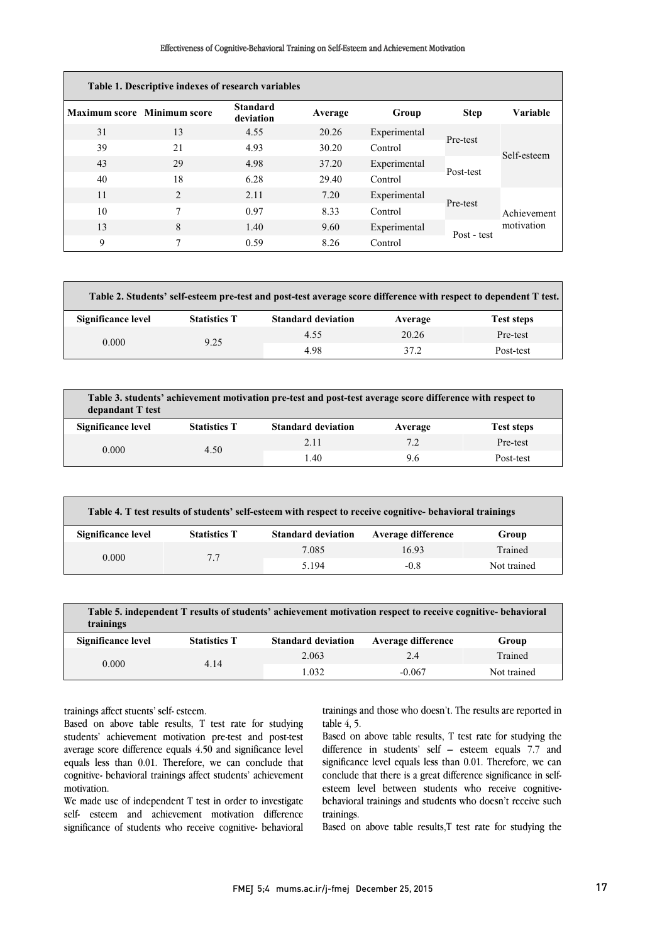#### Effectiveness of Cognitive-Behavioral Training on Self-Esteem and Achievement Motivation

| Table 1. Descriptive indexes of research variables |                |                              |         |              |             |                           |
|----------------------------------------------------|----------------|------------------------------|---------|--------------|-------------|---------------------------|
| <b>Maximum score</b> Minimum score                 |                | <b>Standard</b><br>deviation | Average | Group        | Step        | Variable                  |
| 31                                                 | 13             | 4.55                         | 20.26   | Experimental | Pre-test    | Self-esteem               |
| 39                                                 | 21             | 4.93                         | 30.20   | Control      |             |                           |
| 43                                                 | 29             | 4.98                         | 37.20   | Experimental | Post-test   |                           |
| 40                                                 | 18             | 6.28                         | 29.40   | Control      |             |                           |
| 11                                                 | $\mathfrak{D}$ | 2.11                         | 7.20    | Experimental |             | Achievement<br>motivation |
| 10                                                 | 7              | 0.97                         | 8.33    | Control      | Pre-test    |                           |
| 13                                                 | 8              | 1.40                         | 9.60    | Experimental |             |                           |
| 9                                                  | 7              | 0.59                         | 8.26    | Control      | Post - test |                           |

| Table 2. Students' self-esteem pre-test and post-test average score difference with respect to dependent T test. |                     |                           |         |                   |
|------------------------------------------------------------------------------------------------------------------|---------------------|---------------------------|---------|-------------------|
| Significance level                                                                                               | <b>Statistics T</b> | <b>Standard deviation</b> | Average | <b>Test steps</b> |
| 0.000                                                                                                            | 9.25                | 4.55                      | 20.26   | Pre-test          |
|                                                                                                                  |                     | 498                       | 372     | Post-test         |
|                                                                                                                  |                     |                           |         |                   |

| Table 3. students' achievement motivation pre-test and post-test average score difference with respect to<br>depandant T test |                     |                           |         |                   |
|-------------------------------------------------------------------------------------------------------------------------------|---------------------|---------------------------|---------|-------------------|
| Significance level                                                                                                            | <b>Statistics T</b> | <b>Standard deviation</b> | Average | <b>Test steps</b> |
| 0.000                                                                                                                         | 4.50                | 2.11                      | 7.2     | Pre-test          |
|                                                                                                                               |                     | L 40                      | 96      | Post-test         |

| Table 4. T test results of students' self-esteem with respect to receive cognitive- behavioral trainings |                     |                           |                    |             |
|----------------------------------------------------------------------------------------------------------|---------------------|---------------------------|--------------------|-------------|
| Significance level                                                                                       | <b>Statistics T</b> | <b>Standard deviation</b> | Average difference | Group       |
| 0.000                                                                                                    | 7.7                 | 7.085                     | 16.93              | Trained     |
|                                                                                                          |                     | 5 1 9 4                   | $-0.8$             | Not trained |

l

| Table 5. independent T results of students' achievement motivation respect to receive cognitive- behavioral<br>trainings |                     |                           |                    |             |
|--------------------------------------------------------------------------------------------------------------------------|---------------------|---------------------------|--------------------|-------------|
| Significance level                                                                                                       | <b>Statistics T</b> | <b>Standard deviation</b> | Average difference | Group       |
| 0.000                                                                                                                    | 4 14                | 2.063                     | 2.4                | Trained     |
|                                                                                                                          |                     | 1 032                     | -0.067             | Not trained |

trainings affect stuents' self- esteem.

Based on above table results, T test rate for studying students' achievement motivation pre-test and post-test average score difference equals 4.50 and significance level equals less than 0.01. Therefore, we can conclude that cognitive- behavioral trainings affect students' achievement motivation.

We made use of independent T test in order to investigate self- esteem and achievement motivation difference significance of students who receive cognitive- behavioral  trainings and those who doesn't. The results are reported in  $table 4, 5.$ 

 Based on above table results, T test rate for studying the difference in students' self – esteem equals 7.7 and significance level equals less than 0.01. Therefore, we can esteem level between students who receive cognitive- behavioral trainings and students who doesn't receive such trainings. conclude that there is a great difference significance in self-

Based on above table results,T test rate for studying the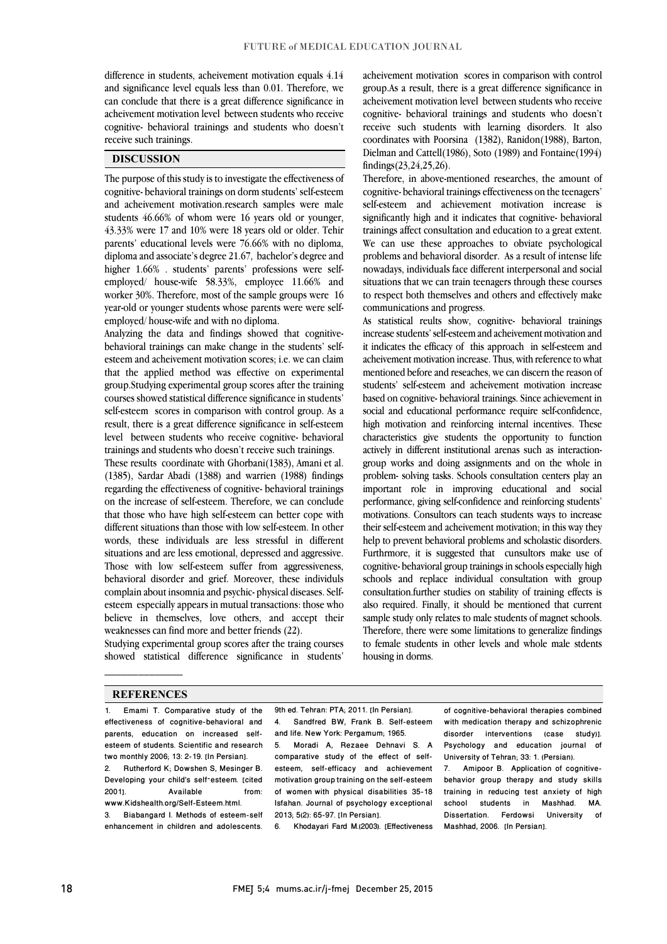֖֖֖֖֚֚֚֚֚֬  $\overline{a}$ 

 difference in students, acheivement motivation equals 4.14 and significance level equals less than 0.01. Therefore, we can conclude that there is a great difference significance in ٧<br>. cognitive- behavioral trainings and students who doesn't acheivement motivation level between students who receive receive such trainings.

# **DISCUSSION**

 cognitive- behavioral trainings on dorm students' self-esteem and acheivement motivation.research samples were male students 46.66% of whom were 16 years old or younger, 43.33% were 17 and 10% were 18 years old or older. Tehir parents' educational levels were 76.66% with no diploma, higher 1.66% . students' parents' professions were self- employed/ house-wife 58.33%, employee 11.66% and worker 30%. Therefore, most of the sample groups were 16 year-old or younger students whose parents were were self-The purpose of this study is to investigate the effectiveness of diploma and associate's degree 21.67, bachelor's degree and employed/ house-wife and with no diploma.

 Analyzing the data and findings showed that cognitive- behavioral trainings can make change in the students' self- esteem and acheivement motivation scores; i.e. we can claim that the applied method was effective on experimental courses showed statistical difference significance in students' self-esteem scores in comparison with control group. As a result, there is a great difference significance in self-esteem trainings and students who doesn't receive such trainings. group.Studying experimental group scores after the training level between students who receive cognitive- behavioral

 These results coordinate with Ghorbani(1383), Amani et al. (1385), Sardar Abadi (1388) and warrien (1988) findings regarding the effectiveness of cognitive- behavioral trainings on the increase of self-esteem. Therefore, we can conclude different situations than those with low self-esteem. In other words, these individuals are less stressful in different situations and are less emotional, depressed and aggressive. behavioral disorder and grief. Moreover, these individuls complain about insomnia and psychic- physical diseases. Self- esteem especially appears in mutual transactions: those who believe in themselves, love others, and accept their weaknesses can find more and better friends (22). that those who have high self-esteem can better cope with Those with low self-esteem suffer from aggressiveness,

 showed statistical difference significance in students' Studying experimental group scores after the traing courses

 acheivement motivation scores in comparison with control group.As a result, there is a great difference significance in acheivement motivation level between students who receive receive such students with learning disorders. It also coordinates with Poorsina (1382), Ranidon(1988), Barton, Dielman and Cattell(1986), Soto (1989) and Fontaine(1994) cognitive- behavioral trainings and students who doesn't findings(23,24,25,26).

 cognitive- behavioral trainings effectiveness on the teenagers' self-esteem and achievement motivation increase is significantly high and it indicates that cognitive- behavioral trainings affect consultation and education to a great extent. We can use these approaches to obviate psychological nowadays, individuals face different interpersonal and social situations that we can train teenagers through these courses to respect both themselves and others and effectively make Therefore, in above-mentioned researches, the amount of problems and behavioral disorder. As a result of intense life communications and progress.

 As statistical reults show, cognitive- behavioral trainings increase students' self-esteem and acheivement motivation and it indicates the efficacy of this approach in self-esteem and acheivement motivation increase. Thus, with reference to what students' self-esteem and acheivement motivation increase based on cognitive- behavioral trainings. Since achievement in social and educational performance require self-confidence, high motivation and reinforcing internal incentives. These actively in different institutional arenas such as interaction- group works and doing assignments and on the whole in problem- solving tasks. Schools consultation centers play an important role in improving educational and social performance, giving self-confidence and reinforcing students' their self-esteem and acheivement motivation; in this way they help to prevent behavioral problems and scholastic disorders. Furthrmore, it is suggested that cunsultors make use of schools and replace individual consultation with group consultation.further studies on stability of training effects is also required. Finally, it should be mentioned that current sample study only relates to male students of magnet schools. to female students in other levels and whole male stdents mentioned before and reseaches, we can discern the reason of characteristics give students the opportunity to function motivations. Consultors can teach students ways to increase cognitive- behavioral group trainings in schools especially high Therefore, there were some limitations to generalize findings housing in dorms.

#### **REFERENCES**

 $\mathcal{L}=\mathcal{L}$ 

Emami T. Comparative study of the effectiveness of cognitive-behavioral and parents, education on increased selfesteem of students. Scientific and research two monthly 2006; 13: 2-19. [In Persian].

2. Rutherford K; Dowshen S, Mesinger B. Developing your child's self–esteem. [cited 2001]. Available from: www.Kidshealth.org/Self-Esteem.html.

Biabangard I. Methods of esteem-self enhancement in children and adolescents.

 $\overline{a}$  4. Sandfred BW, Frank B. Self-esteem and life. New York: Pergamum; 1965. 9th ed. Tehran: PTA; 2011. [In Persian].

j

 comparative study of the effect of self- esteem, self-efficacy and achievement motivation group training on the self-esteem Isfahan. Journal of psychology exceptional 2013; 5(2): 65-97. [In Persian]. 5. Moradi A, Rezaee Dehnavi S. A of women with physical disabilities 35-18

6. Khodayari Fard M.(2003). [Effectiveness

 $\overline{a}$ with medication therapy and schizophrenic disorder interventions (case study)]. Psychology and education journal of of cognitive-behavioral therapies combined University of Tehran; 33: 1. (Persian).

j

 7. Amipoor B. Application of cognitive- behavior group therapy and study skills school students in Mashhad. MA. Dissertation. Ferdowsi University of training in reducing test anxiety of high Mashhad, 2006. [In Persian].